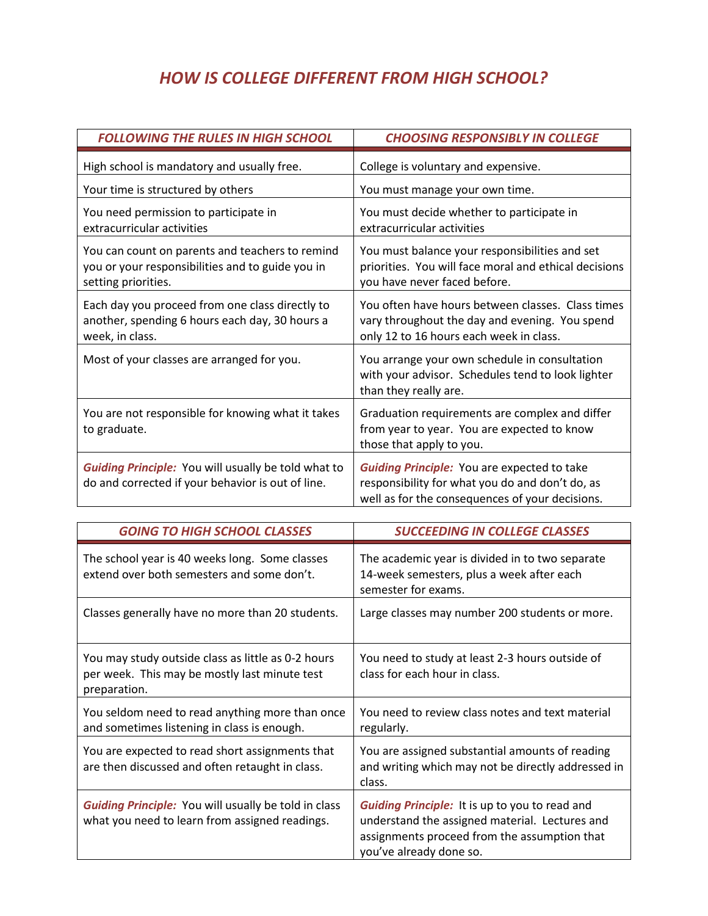## *HOW IS COLLEGE DIFFERENT FROM HIGH SCHOOL?*

| <b>FOLLOWING THE RULES IN HIGH SCHOOL</b>                                                                                  | <b>CHOOSING RESPONSIBLY IN COLLEGE</b>                                                                                                                   |
|----------------------------------------------------------------------------------------------------------------------------|----------------------------------------------------------------------------------------------------------------------------------------------------------|
| High school is mandatory and usually free.                                                                                 | College is voluntary and expensive.                                                                                                                      |
| Your time is structured by others                                                                                          | You must manage your own time.                                                                                                                           |
| You need permission to participate in<br>extracurricular activities                                                        | You must decide whether to participate in<br>extracurricular activities                                                                                  |
| You can count on parents and teachers to remind<br>you or your responsibilities and to guide you in<br>setting priorities. | You must balance your responsibilities and set<br>priorities. You will face moral and ethical decisions<br>you have never faced before.                  |
| Each day you proceed from one class directly to<br>another, spending 6 hours each day, 30 hours a<br>week, in class.       | You often have hours between classes. Class times<br>vary throughout the day and evening. You spend<br>only 12 to 16 hours each week in class.           |
| Most of your classes are arranged for you.                                                                                 | You arrange your own schedule in consultation<br>with your advisor. Schedules tend to look lighter<br>than they really are.                              |
| You are not responsible for knowing what it takes<br>to graduate.                                                          | Graduation requirements are complex and differ<br>from year to year. You are expected to know<br>those that apply to you.                                |
| <b>Guiding Principle:</b> You will usually be told what to<br>do and corrected if your behavior is out of line.            | <b>Guiding Principle: You are expected to take</b><br>responsibility for what you do and don't do, as<br>well as for the consequences of your decisions. |

| <b>GOING TO HIGH SCHOOL CLASSES</b>                                                                                 | <b>SUCCEEDING IN COLLEGE CLASSES</b>                                                                                                                                               |
|---------------------------------------------------------------------------------------------------------------------|------------------------------------------------------------------------------------------------------------------------------------------------------------------------------------|
| The school year is 40 weeks long. Some classes<br>extend over both semesters and some don't.                        | The academic year is divided in to two separate<br>14-week semesters, plus a week after each<br>semester for exams.                                                                |
| Classes generally have no more than 20 students.                                                                    | Large classes may number 200 students or more.                                                                                                                                     |
| You may study outside class as little as 0-2 hours<br>per week. This may be mostly last minute test<br>preparation. | You need to study at least 2-3 hours outside of<br>class for each hour in class.                                                                                                   |
| You seldom need to read anything more than once<br>and sometimes listening in class is enough.                      | You need to review class notes and text material<br>regularly.                                                                                                                     |
| You are expected to read short assignments that<br>are then discussed and often retaught in class.                  | You are assigned substantial amounts of reading<br>and writing which may not be directly addressed in<br>class.                                                                    |
| <b>Guiding Principle:</b> You will usually be told in class<br>what you need to learn from assigned readings.       | <b>Guiding Principle:</b> It is up to you to read and<br>understand the assigned material. Lectures and<br>assignments proceed from the assumption that<br>you've already done so. |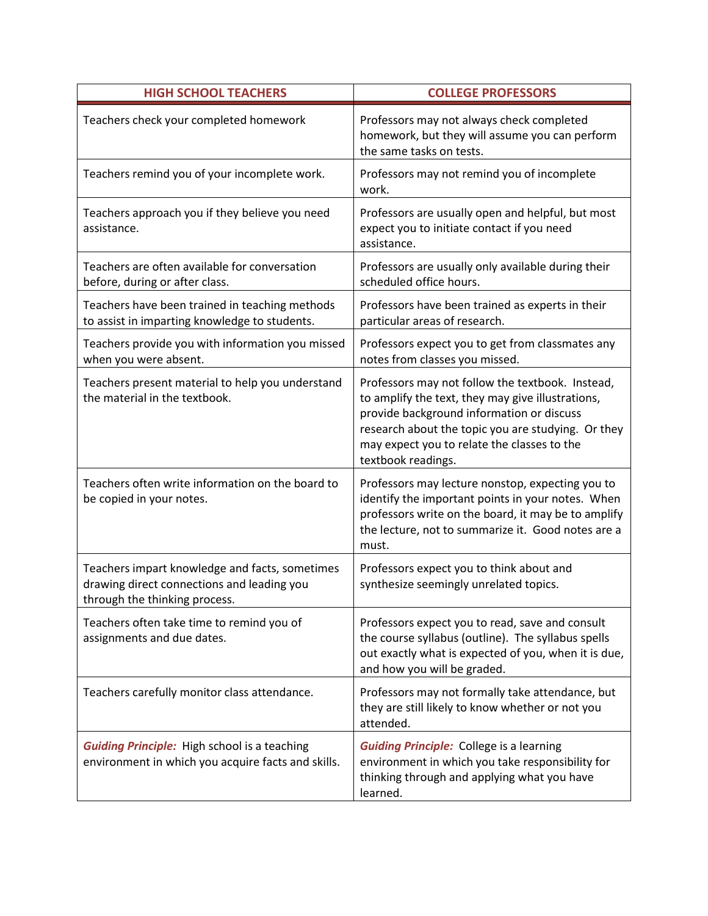| <b>HIGH SCHOOL TEACHERS</b>                                                                                                   | <b>COLLEGE PROFESSORS</b>                                                                                                                                                                                                                                                     |
|-------------------------------------------------------------------------------------------------------------------------------|-------------------------------------------------------------------------------------------------------------------------------------------------------------------------------------------------------------------------------------------------------------------------------|
| Teachers check your completed homework                                                                                        | Professors may not always check completed<br>homework, but they will assume you can perform<br>the same tasks on tests.                                                                                                                                                       |
| Teachers remind you of your incomplete work.                                                                                  | Professors may not remind you of incomplete<br>work.                                                                                                                                                                                                                          |
| Teachers approach you if they believe you need<br>assistance.                                                                 | Professors are usually open and helpful, but most<br>expect you to initiate contact if you need<br>assistance.                                                                                                                                                                |
| Teachers are often available for conversation<br>before, during or after class.                                               | Professors are usually only available during their<br>scheduled office hours.                                                                                                                                                                                                 |
| Teachers have been trained in teaching methods<br>to assist in imparting knowledge to students.                               | Professors have been trained as experts in their<br>particular areas of research.                                                                                                                                                                                             |
| Teachers provide you with information you missed<br>when you were absent.                                                     | Professors expect you to get from classmates any<br>notes from classes you missed.                                                                                                                                                                                            |
| Teachers present material to help you understand<br>the material in the textbook.                                             | Professors may not follow the textbook. Instead,<br>to amplify the text, they may give illustrations,<br>provide background information or discuss<br>research about the topic you are studying. Or they<br>may expect you to relate the classes to the<br>textbook readings. |
| Teachers often write information on the board to<br>be copied in your notes.                                                  | Professors may lecture nonstop, expecting you to<br>identify the important points in your notes. When<br>professors write on the board, it may be to amplify<br>the lecture, not to summarize it. Good notes are a<br>must.                                                   |
| Teachers impart knowledge and facts, sometimes<br>drawing direct connections and leading you<br>through the thinking process. | Professors expect you to think about and<br>synthesize seemingly unrelated topics.                                                                                                                                                                                            |
| Teachers often take time to remind you of<br>assignments and due dates.                                                       | Professors expect you to read, save and consult<br>the course syllabus (outline). The syllabus spells<br>out exactly what is expected of you, when it is due,<br>and how you will be graded.                                                                                  |
| Teachers carefully monitor class attendance.                                                                                  | Professors may not formally take attendance, but<br>they are still likely to know whether or not you<br>attended.                                                                                                                                                             |
| <b>Guiding Principle:</b> High school is a teaching<br>environment in which you acquire facts and skills.                     | <b>Guiding Principle:</b> College is a learning<br>environment in which you take responsibility for<br>thinking through and applying what you have<br>learned.                                                                                                                |